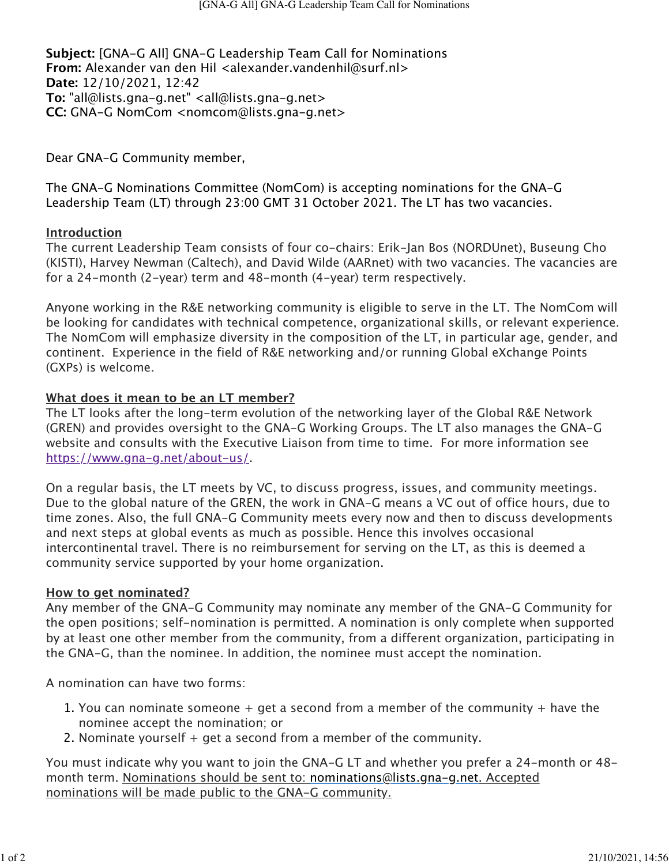**Subject:** [GNA-G All] GNA-G Leadership Team Call for Nominations **From:** Alexander van den Hil <alexander.vandenhil@surf.nl> **Date:** 12/10/2021, 12:42 **To:** "all@lists.gna-g.net" <all@lists.gna-g.net> **CC:** GNA-G NomCom <nomcom@lists.gna-g.net>

Dear GNA-G Community member,

The GNA-G Nominations Committee (NomCom) is accepting nominations for the GNA-G Leadership Team (LT) through 23:00 GMT 31 October 2021. The LT has two vacancies.

## **Introduction**

The current Leadership Team consists of four co-chairs: Erik-Jan Bos (NORDUnet), Buseung Cho (KISTI), Harvey Newman (Caltech), and David Wilde (AARnet) with two vacancies. The vacancies are for a 24-month (2-year) term and 48-month (4-year) term respectively.

Anyone working in the R&E networking community is eligible to serve in the LT. The NomCom will be looking for candidates with technical competence, organizational skills, or relevant experience. The NomCom will emphasize diversity in the composition of the LT, in particular age, gender, and continent. Experience in the field of R&E networking and/or running Global eXchange Points (GXPs) is welcome.

## **What does it mean to be an LT member?**

The LT looks after the long-term evolution of the networking layer of the Global R&E Network (GREN) and provides oversight to the GNA-G Working Groups. The LT also manages the GNA-G website and consults with the Executive Liaison from time to time. For more information see <https://www.gna-g.net/about-us/>.

On a regular basis, the LT meets by VC, to discuss progress, issues, and community meetings. Due to the global nature of the GREN, the work in GNA-G means a VC out of office hours, due to time zones. Also, the full GNA-G Community meets every now and then to discuss developments and next steps at global events as much as possible. Hence this involves occasional intercontinental travel. There is no reimbursement for serving on the LT, as this is deemed a community service supported by your home organization.

### **How to get nominated?**

Any member of the GNA-G Community may nominate any member of the GNA-G Community for the open positions; self-nomination is permitted. A nomination is only complete when supported by at least one other member from the community, from a different organization, participating in the GNA-G, than the nominee. In addition, the nominee must accept the nomination.

A nomination can have two forms:

- 1. You can nominate someone  $+$  get a second from a member of the community  $+$  have the nominee accept the nomination; or
- 2. Nominate yourself + get a second from a member of the community.

You must indicate why you want to join the GNA-G LT and whether you prefer a 24-month or 48 month term. Nominations should be sent to: [nominations@lists.gna-g.net](mailto:nominations@lists.gna-g.net). Accepted nominations will be made public to the GNA-G community.